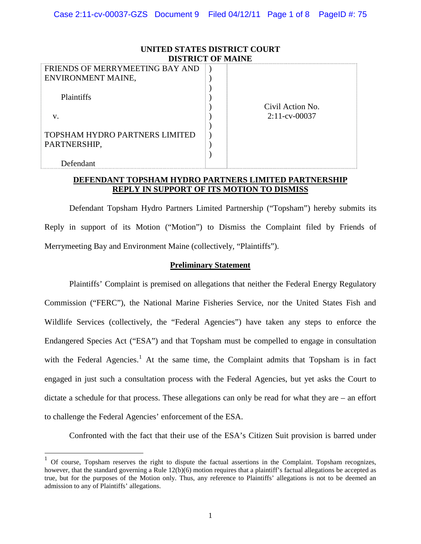| UNITED STATES DISTRICT COURT<br><b>DISTRICT OF MAINE</b> |                  |  |
|----------------------------------------------------------|------------------|--|
| FRIENDS OF MERRYMEETING BAY AND                          |                  |  |
| ENVIRONMENT MAINE,                                       |                  |  |
| Plaintiffs                                               | Civil Action No. |  |
| V.                                                       | $2:11$ -cv-00037 |  |
|                                                          |                  |  |
| TOPSHAM HYDRO PARTNERS LIMITED                           |                  |  |
| PARTNERSHIP,                                             |                  |  |
|                                                          |                  |  |
| Defendant                                                |                  |  |

## **DEFENDANT TOPSHAM HYDRO PARTNERS LIMITED PARTNERSHIP REPLY IN SUPPORT OF ITS MOTION TO DISMISS**

Defendant Topsham Hydro Partners Limited Partnership ("Topsham") hereby submits its Reply in support of its Motion ("Motion") to Dismiss the Complaint filed by Friends of Merrymeeting Bay and Environment Maine (collectively, "Plaintiffs").

## **Preliminary Statement**

Plaintiffs' Complaint is premised on allegations that neither the Federal Energy Regulatory Commission ("FERC"), the National Marine Fisheries Service, nor the United States Fish and Wildlife Services (collectively, the "Federal Agencies") have taken any steps to enforce the Endangered Species Act ("ESA") and that Topsham must be compelled to engage in consultation with the Federal Agencies.<sup>[1](#page-0-0)</sup> At the same time, the Complaint admits that Topsham is in fact engaged in just such a consultation process with the Federal Agencies, but yet asks the Court to dictate a schedule for that process. These allegations can only be read for what they are – an effort to challenge the Federal Agencies' enforcement of the ESA.

Confronted with the fact that their use of the ESA's Citizen Suit provision is barred under

<span id="page-0-0"></span> $1$  Of course, Topsham reserves the right to dispute the factual assertions in the Complaint. Topsham recognizes, however, that the standard governing a Rule 12(b)(6) motion requires that a plaintiff's factual allegations be accepted as true, but for the purposes of the Motion only. Thus, any reference to Plaintiffs' allegations is not to be deemed an admission to any of Plaintiffs' allegations.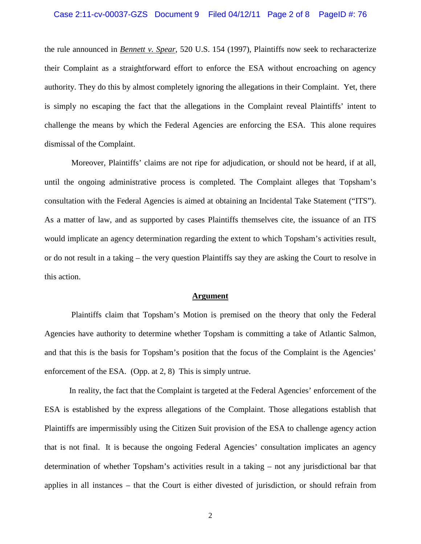the rule announced in *Bennett v. Spear*, 520 U.S. 154 (1997), Plaintiffs now seek to recharacterize their Complaint as a straightforward effort to enforce the ESA without encroaching on agency authority. They do this by almost completely ignoring the allegations in their Complaint. Yet, there is simply no escaping the fact that the allegations in the Complaint reveal Plaintiffs' intent to challenge the means by which the Federal Agencies are enforcing the ESA. This alone requires dismissal of the Complaint.

Moreover, Plaintiffs' claims are not ripe for adjudication, or should not be heard, if at all, until the ongoing administrative process is completed. The Complaint alleges that Topsham's consultation with the Federal Agencies is aimed at obtaining an Incidental Take Statement ("ITS"). As a matter of law, and as supported by cases Plaintiffs themselves cite, the issuance of an ITS would implicate an agency determination regarding the extent to which Topsham's activities result, or do not result in a taking – the very question Plaintiffs say they are asking the Court to resolve in this action.

### **Argument**

Plaintiffs claim that Topsham's Motion is premised on the theory that only the Federal Agencies have authority to determine whether Topsham is committing a take of Atlantic Salmon, and that this is the basis for Topsham's position that the focus of the Complaint is the Agencies' enforcement of the ESA. (Opp. at 2, 8) This is simply untrue.

In reality, the fact that the Complaint is targeted at the Federal Agencies' enforcement of the ESA is established by the express allegations of the Complaint. Those allegations establish that Plaintiffs are impermissibly using the Citizen Suit provision of the ESA to challenge agency action that is not final. It is because the ongoing Federal Agencies' consultation implicates an agency determination of whether Topsham's activities result in a taking – not any jurisdictional bar that applies in all instances – that the Court is either divested of jurisdiction, or should refrain from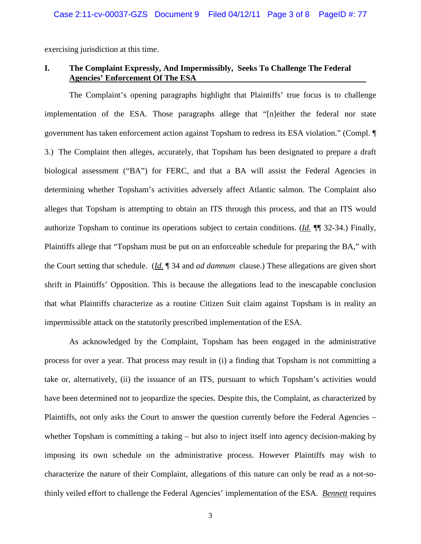exercising jurisdiction at this time.

# **I. The Complaint Expressly, And Impermissibly, Seeks To Challenge The Federal Agencies' Enforcement Of The ESA**

 The Complaint's opening paragraphs highlight that Plaintiffs' true focus is to challenge implementation of the ESA. Those paragraphs allege that "[n]either the federal nor state government has taken enforcement action against Topsham to redress its ESA violation." (Compl. ¶ 3.) The Complaint then alleges, accurately, that Topsham has been designated to prepare a draft biological assessment ("BA") for FERC, and that a BA will assist the Federal Agencies in determining whether Topsham's activities adversely affect Atlantic salmon. The Complaint also alleges that Topsham is attempting to obtain an ITS through this process, and that an ITS would authorize Topsham to continue its operations subject to certain conditions. (*Id.* ¶¶ 32-34.) Finally, Plaintiffs allege that "Topsham must be put on an enforceable schedule for preparing the BA," with the Court setting that schedule. (*Id.* ¶ 34 and *ad damnum* clause.) These allegations are given short shrift in Plaintiffs' Opposition. This is because the allegations lead to the inescapable conclusion that what Plaintiffs characterize as a routine Citizen Suit claim against Topsham is in reality an impermissible attack on the statutorily prescribed implementation of the ESA.

As acknowledged by the Complaint, Topsham has been engaged in the administrative process for over a year. That process may result in (i) a finding that Topsham is not committing a take or, alternatively, (ii) the issuance of an ITS, pursuant to which Topsham's activities would have been determined not to jeopardize the species. Despite this, the Complaint, as characterized by Plaintiffs, not only asks the Court to answer the question currently before the Federal Agencies – whether Topsham is committing a taking – but also to inject itself into agency decision-making by imposing its own schedule on the administrative process. However Plaintiffs may wish to characterize the nature of their Complaint, allegations of this nature can only be read as a not-sothinly veiled effort to challenge the Federal Agencies' implementation of the ESA. *Bennett* requires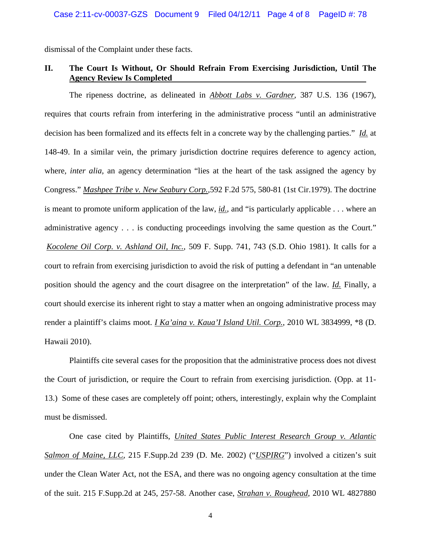dismissal of the Complaint under these facts.

## **II. The Court Is Without, Or Should Refrain From Exercising Jurisdiction, Until The Agency Review Is Completed**

The ripeness doctrine, as delineated in *Abbott Labs v. Gardner*, 387 U.S. 136 (1967), requires that courts refrain from interfering in the administrative process "until an administrative decision has been formalized and its effects felt in a concrete way by the challenging parties." *Id.* at 148-49. In a similar vein, the primary jurisdiction doctrine requires deference to agency action, where*, inter alia,* an agency determination "lies at the heart of the task assigned the agency by Congress." *Mashpee Tribe v. New Seabury Corp.,*592 F.2d 575, 580-81 (1st Cir.1979). The doctrine is meant to promote uniform application of the law, *id.*, and "is particularly applicable . . . where an administrative agency . . . is conducting proceedings involving the same question as the Court." *Kocolene Oil Corp. v. Ashland Oil, Inc.*, 509 F. Supp. 741, 743 (S.D. Ohio 1981). It calls for a court to refrain from exercising jurisdiction to avoid the risk of putting a defendant in "an untenable position should the agency and the court disagree on the interpretation" of the law. *Id.* Finally, a court should exercise its inherent right to stay a matter when an ongoing administrative process may render a plaintiff's claims moot. *I Ka'aina v. Kaua'I Island Util. Corp.*, 2010 WL 3834999, \*8 (D. Hawaii 2010).

Plaintiffs cite several cases for the proposition that the administrative process does not divest the Court of jurisdiction, or require the Court to refrain from exercising jurisdiction. (Opp. at 11- 13.) Some of these cases are completely off point; others, interestingly, explain why the Complaint must be dismissed.

One case cited by Plaintiffs, *United States Public Interest Research Group v. Atlantic Salmon of Maine, LLC*, 215 F.Supp.2d 239 (D. Me. 2002) ("*USPIRG*") involved a citizen's suit under the Clean Water Act, not the ESA, and there was no ongoing agency consultation at the time of the suit. 215 F.Supp.2d at 245, 257-58. Another case, *Strahan v. Roughead*, 2010 WL 4827880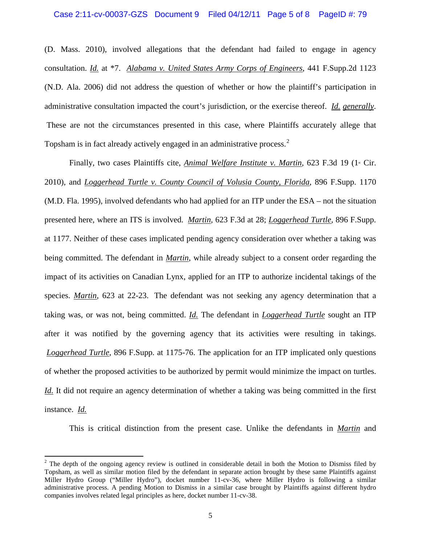(D. Mass. 2010), involved allegations that the defendant had failed to engage in agency consultation. *Id.* at \*7. *Alabama v. United States Army Corps of Engineers*, 441 F.Supp.2d 1123 (N.D. Ala. 2006) did not address the question of whether or how the plaintiff's participation in administrative consultation impacted the court's jurisdiction, or the exercise thereof. *Id. generally*. These are not the circumstances presented in this case, where Plaintiffs accurately allege that Topsham is in fact already actively engaged in an administrative process.<sup>[2](#page-4-0)</sup>

Finally, two cases Plaintiffs cite, *Animal Welfare Institute v. Martin*, 623 F.3d 19 (1<sup>*x*</sup> Cir. 2010), and *Loggerhead Turtle v. County Council of Volusia County, Florida*, 896 F.Supp. 1170 (M.D. Fla. 1995), involved defendants who had applied for an ITP under the ESA – not the situation presented here, where an ITS is involved. *Martin*, 623 F.3d at 28; *Loggerhead Turtle*, 896 F.Supp. at 1177. Neither of these cases implicated pending agency consideration over whether a taking was being committed. The defendant in *Martin*, while already subject to a consent order regarding the impact of its activities on Canadian Lynx, applied for an ITP to authorize incidental takings of the species. *Martin*, 623 at 22-23. The defendant was not seeking any agency determination that a taking was, or was not, being committed. *Id.* The defendant in *Loggerhead Turtle* sought an ITP after it was notified by the governing agency that its activities were resulting in takings. *Loggerhead Turtle*, 896 F.Supp. at 1175-76. The application for an ITP implicated only questions of whether the proposed activities to be authorized by permit would minimize the impact on turtles. *Id.* It did not require an agency determination of whether a taking was being committed in the first instance. *Id.*

This is critical distinction from the present case. Unlike the defendants in *Martin* and

<span id="page-4-0"></span><sup>&</sup>lt;sup>2</sup> The depth of the ongoing agency review is outlined in considerable detail in both the Motion to Dismiss filed by Topsham, as well as similar motion filed by the defendant in separate action brought by these same Plaintiffs against Miller Hydro Group ("Miller Hydro"), docket number 11-cv-36, where Miller Hydro is following a similar administrative process. A pending Motion to Dismiss in a similar case brought by Plaintiffs against different hydro companies involves related legal principles as here, docket number 11-cv-38.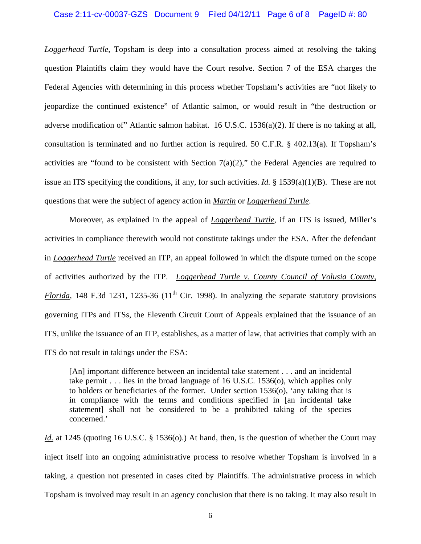#### Case 2:11-cv-00037-GZS Document 9 Filed 04/12/11 Page 6 of 8 PageID #: 80

*Loggerhead Turtle*, Topsham is deep into a consultation process aimed at resolving the taking question Plaintiffs claim they would have the Court resolve. Section 7 of the ESA charges the Federal Agencies with determining in this process whether Topsham's activities are "not likely to jeopardize the continued existence" of Atlantic salmon, or would result in "the destruction or adverse modification of" Atlantic salmon habitat. 16 U.S.C.  $1536(a)(2)$ . If there is no taking at all, consultation is terminated and no further action is required. 50 C.F.R. § 402.13(a). If Topsham's activities are "found to be consistent with Section  $7(a)(2)$ ," the Federal Agencies are required to issue an ITS specifying the conditions, if any, for such activities. *Id.* § 1539(a)(1)(B). These are not questions that were the subject of agency action in *Martin* or *Loggerhead Turtle*.

Moreover, as explained in the appeal of *Loggerhead Turtle*, if an ITS is issued, Miller's activities in compliance therewith would not constitute takings under the ESA. After the defendant in *Loggerhead Turtle* received an ITP, an appeal followed in which the dispute turned on the scope of activities authorized by the ITP. *Loggerhead Turtle v. County Council of Volusia County, Florida*, 148 F.3d 1231, 1235-36 (11<sup>th</sup> Cir. 1998). In analyzing the separate statutory provisions governing ITPs and ITSs, the Eleventh Circuit Court of Appeals explained that the issuance of an ITS, unlike the issuance of an ITP, establishes, as a matter of law, that activities that comply with an ITS do not result in takings under the ESA:

[An] important difference between an incidental take statement . . . and an incidental take permit  $\ldots$  lies in the broad language of 16 U.S.C. 1536(o), which applies only to holders or beneficiaries of the former. Under section 1536(o), 'any taking that is in compliance with the terms and conditions specified in [an incidental take statement] shall not be considered to be a prohibited taking of the species concerned.'

*Id.* at 1245 (quoting 16 U.S.C. § 1536(o).) At hand, then, is the question of whether the Court may inject itself into an ongoing administrative process to resolve whether Topsham is involved in a taking, a question not presented in cases cited by Plaintiffs. The administrative process in which Topsham is involved may result in an agency conclusion that there is no taking. It may also result in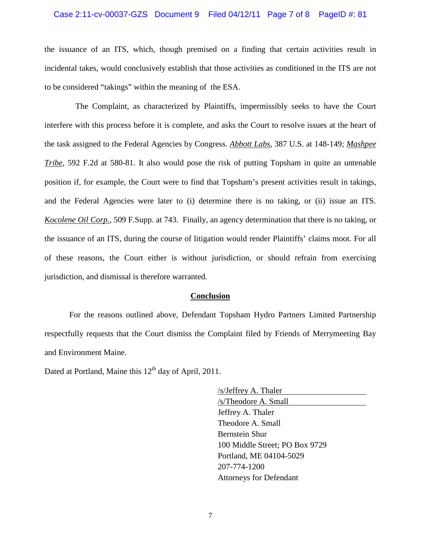#### Case 2:11-cv-00037-GZS Document 9 Filed 04/12/11 Page 7 of 8 PageID #: 81

the issuance of an ITS, which, though premised on a finding that certain activities result in incidental takes, would conclusively establish that those activities as conditioned in the ITS are not to be considered "takings" within the meaning of the ESA.

 The Complaint, as characterized by Plaintiffs, impermissibly seeks to have the Court interfere with this process before it is complete, and asks the Court to resolve issues at the heart of the task assigned to the Federal Agencies by Congress. *Abbott Labs*, 387 U.S. at 148-149; *Mashpee Tribe*, 592 F.2d at 580-81. It also would pose the risk of putting Topsham in quite an untenable position if, for example, the Court were to find that Topsham's present activities result in takings, and the Federal Agencies were later to (i) determine there is no taking, or (ii) issue an ITS. *Kocolene Oil Corp.*, 509 F.Supp. at 743. Finally, an agency determination that there is no taking, or the issuance of an ITS, during the course of litigation would render Plaintiffs' claims moot. For all of these reasons, the Court either is without jurisdiction, or should refrain from exercising jurisdiction, and dismissal is therefore warranted.

## **Conclusion**

For the reasons outlined above, Defendant Topsham Hydro Partners Limited Partnership respectfully requests that the Court dismiss the Complaint filed by Friends of Merrymeeting Bay and Environment Maine.

Dated at Portland, Maine this  $12<sup>th</sup>$  day of April, 2011.

/s/Jeffrey A. Thaler /s/Theodore A. Small Jeffrey A. Thaler Theodore A. Small Bernstein Shur 100 Middle Street; PO Box 9729 Portland, ME 04104-5029 207-774-1200 Attorneys for Defendant